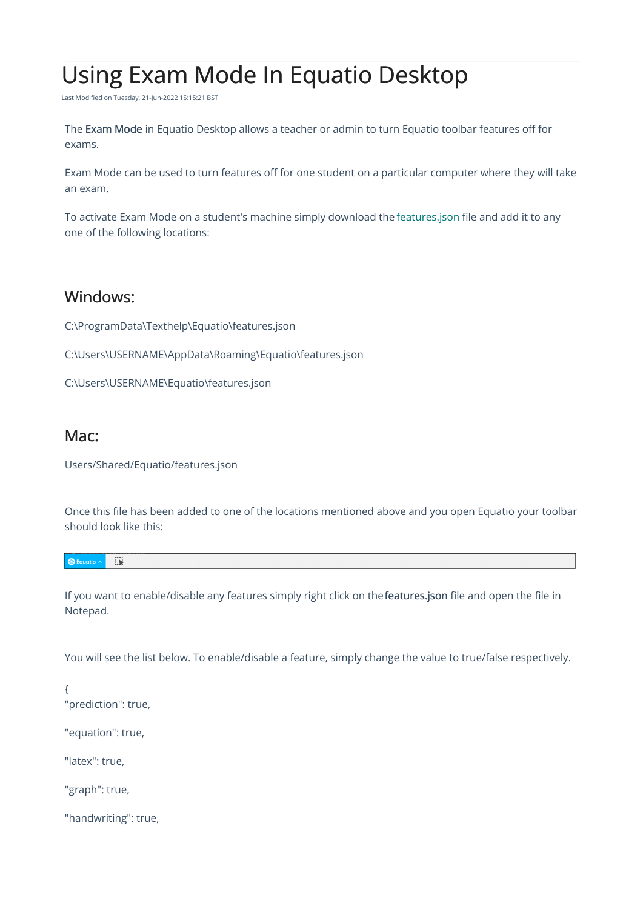## Using Exam Mode In Equatio Desktop

Last Modified on Tuesday, 21-Jun-2022 15:15:21 BST

The Exam Mode in Equatio Desktop allows a teacher or admin to turn Equatio toolbar features off for exams.

Exam Mode can be used to turn features off for one student on a particular computer where they will take an exam.

To activate Exam Mode on a student's machine simply download the [features.json](http://fastdownloads2.texthelp.com/equatio_desktop/templates/features.json) file and add it to any one of the following locations:

## Windows:

C:\ProgramData\Texthelp\Equatio\features.json

C:\Users\USERNAME\AppData\Roaming\Equatio\features.json

C:\Users\USERNAME\Equatio\features.json

## Mac:

Users/Shared/Equatio/features.json

Once this file has been added to one of the locations mentioned above and you open Equatio your toolbar should look like this:

| - | $- - - -$<br>$-50$ |  |  |  |
|---|--------------------|--|--|--|
|---|--------------------|--|--|--|

If you want to enable/disable any features simply right click on thefeatures.json file and open the file in Notepad.

You will see the list below. To enable/disable a feature, simply change the value to true/false respectively.

{ "prediction": true,

"equation": true,

"latex": true,

"graph": true,

"handwriting": true,